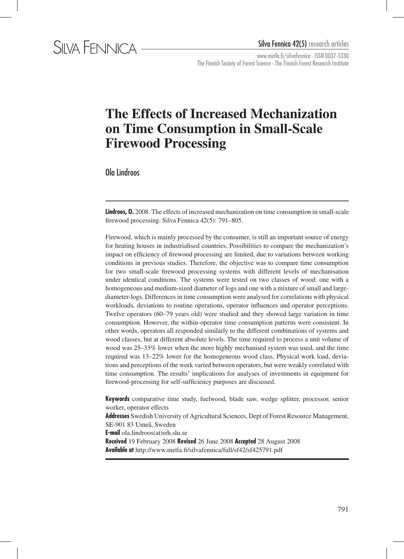

www.metla.fi/silvafennica · ISSN 0037-5330 The Finnish Society of Forest Science · The Finnish Forest Research Institute

# **The Effects of Increased Mechanization on Time Consumption in Small-Scale Firewood Processing**

Ola Lindroos

**Lindroos, 0.** 2008. The effects of increased mechanization on time consumption in small-scale firewood processing. Silva Fennica 42(5): 791–805.

Firewood, which is mainly processed by the consumer, is still an important source of energy for heating houses in industrialised countries. Possibilities to compare the mechanization's impact on efficiency of firewood processing are limited, due to variations between working conditions in previous studies. Therefore, the objective was to compare time consumption for two small-scale firewood processing systems with different levels of mechanisation under identical conditions. The systems were tested on two classes of wood: one with a homogeneous and medium-sized diameter of logs and one with a mixture of small and largediameter-logs. Differences in time consumption were analysed for correlations with physical workloads, deviations to routine operations, operator influences and operator perceptions. Twelve operators (60–79 years old) were studied and they showed large variation in time consumption. However, the within-operator time consumption patterns were consistent. In other words, operators all responded similarly to the different combinations of systems and wood classes, but at different absolute levels. The time required to process a unit volume of wood was 25–33% lower when the more highly mechanised system was used, and the time required was 13–22% lower for the homogeneous wood class. Physical work load, deviations and perceptions of the work varied between operators, but were weakly correlated with time consumption. The results' implications for analyses of investments in equipment for firewood-processing for self-sufficiency purposes are discussed.

**Keywords** comparative time study, fuelwood, blade saw, wedge splitter, processor, senior worker, operator effects

**Addresses** Swedish University of Agricultural Sciences, Dept of Forest Resource Management, SE-901 83 Umeå, Sweden **E-mail** ola.lindroos(at)srh.slu.se **Received** 19 February 2008 **Revised** 26 June 2008 **Accepted** 28 August 2008 **Available at** http://www.metla.fi/silvafennica/full/sf42/sf425791.pdf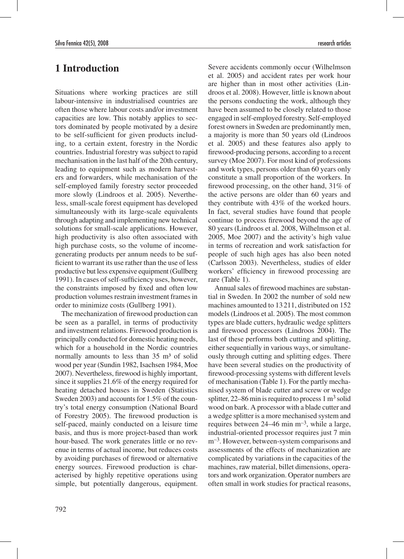# **1 Introduction**

Situations where working practices are still labour-intensive in industrialised countries are often those where labour costs and/or investment capacities are low. This notably applies to sectors dominated by people motivated by a desire to be self-sufficient for given products including, to a certain extent, forestry in the Nordic countries. Industrial forestry was subject to rapid mechanisation in the last half of the 20th century, leading to equipment such as modern harvesters and forwarders, while mechanisation of the self-employed family forestry sector proceeded more slowly (Lindroos et al. 2005). Nevertheless, small-scale forest equipment has developed simultaneously with its large-scale equivalents through adapting and implementing new technical solutions for small-scale applications. However, high productivity is also often associated with high purchase costs, so the volume of incomegenerating products per annum needs to be sufficient to warrant its use rather than the use of less productive but less expensive equipment (Gullberg 1991). In cases of self-sufficiency uses, however, the constraints imposed by fixed and often low production volumes restrain investment frames in order to minimize costs (Gullberg 1991).

The mechanization of firewood production can be seen as a parallel, in terms of productivity and investment relations. Firewood production is principally conducted for domestic heating needs, which for a household in the Nordic countries normally amounts to less than  $35 \text{ m}^3$  of solid wood per year (Sundin 1982, Isachsen 1984, Moe 2007). Nevertheless, firewood is highly important, since it supplies 21.6% of the energy required for heating detached houses in Sweden (Statistics Sweden 2003) and accounts for 1.5% of the country's total energy consumption (National Board of Forestry 2005). The firewood production is self-paced, mainly conducted on a leisure time basis, and thus is more project-based than work hour-based. The work generates little or no revenue in terms of actual income, but reduces costs by avoiding purchases of firewood or alternative energy sources. Firewood production is characterised by highly repetitive operations using simple, but potentially dangerous, equipment.

Severe accidents commonly occur (Wilhelmson et al. 2005) and accident rates per work hour are higher than in most other activities (Lindroos et al. 2008). However, little is known about the persons conducting the work, although they have been assumed to be closely related to those engaged in self-employed forestry. Self-employed forest owners in Sweden are predominantly men, a majority is more than 50 years old (Lindroos et al. 2005) and these features also apply to firewood-producing persons, according to a recent survey (Moe 2007). For most kind of professions and work types, persons older than 60 years only constitute a small proportion of the workers. In firewood processing, on the other hand, 31% of the active persons are older than 60 years and they contribute with 43% of the worked hours. In fact, several studies have found that people continue to process firewood beyond the age of 80 years (Lindroos et al. 2008, Wilhelmson et al. 2005, Moe 2007) and the activity's high value in terms of recreation and work satisfaction for people of such high ages has also been noted (Carlsson 2003). Nevertheless, studies of elder workers' efficiency in firewood processing are rare (Table 1).

Annual sales of firewood machines are substantial in Sweden. In 2002 the number of sold new machines amounted to 13211, distributed on 152 models (Lindroos et al. 2005). The most common types are blade cutters, hydraulic wedge splitters and firewood processors (Lindroos 2004). The last of these performs both cutting and splitting, either sequentially in various ways, or simultaneously through cutting and splitting edges. There have been several studies on the productivity of firewood-processing systems with different levels of mechanisation (Table 1). For the partly mechanised system of blade cutter and screw or wedge splitter, 22–86 min is required to process  $1 \text{ m}^3$  solid wood on bark. A processor with a blade cutter and a wedge splitter is a more mechanised system and requires between  $24-46$  min m<sup>-3</sup>, while a large, industrial-oriented processor requires just 7 min m<sup>-3</sup>. However, between-system comparisons and assessments of the effects of mechanization are complicated by variations in the capacities of the machines, raw material, billet dimensions, operators and work organization. Operator numbers are often small in work studies for practical reasons,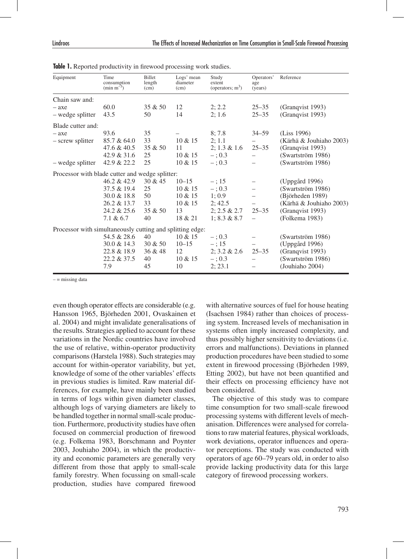| Equipment                                                 | Time<br>consumption<br>$(\text{min m}^{-3})$ | Billet<br>length<br>(cm) | Logs' mean<br>diameter<br>(cm) | Study<br>extent<br>(operators; $m3$ ) | Operators'<br>age<br>(years) | Reference               |
|-----------------------------------------------------------|----------------------------------------------|--------------------------|--------------------------------|---------------------------------------|------------------------------|-------------------------|
| Chain saw and:                                            |                                              |                          |                                |                                       |                              |                         |
| $-$ axe                                                   | 60.0                                         | 35 & 50                  | 12                             | 2; 2.2                                | $25 - 35$                    | (Granqvist 1993)        |
| - wedge splitter                                          | 43.5                                         | 50                       | 14                             | 2; 1.6                                | $25 - 35$                    | (Granqvist 1993)        |
| Blade cutter and:                                         |                                              |                          |                                |                                       |                              |                         |
| $-$ axe                                                   | 93.6                                         | 35                       |                                | 8; 7.8                                | $34 - 59$                    | (Liss 1996)             |
| - screw splitter                                          | 85.7 & 64.0                                  | 33                       | 10 & 15                        | 2; 1.1                                |                              | (Kärhä & Jouhiaho 2003) |
|                                                           | 47.6 & 40.5                                  | 35 & 50                  | 11                             | $2; 1.3 \& 1.6$                       | $25 - 35$                    | (Granqvist 1993)        |
|                                                           | 42.9 & 31.6                                  | 25                       | $10 \& 15$                     | $-$ ; 0.3                             |                              | (Swartström 1986)       |
| - wedge splitter                                          | 42.9 & 22.2                                  | 25                       | 10 & 15                        | $-$ ; 0.3                             |                              | (Swartström 1986)       |
| Processor with blade cutter and wedge splitter:           |                                              |                          |                                |                                       |                              |                         |
|                                                           | 46.2 & 42.9                                  | 30 & 45                  | $10 - 15$                      | $-$ ; 15                              |                              | (Uppgård 1996)          |
|                                                           | 37.5 & 19.4                                  | 25                       | $10 \& 15$                     | $-$ ; 0.3                             |                              | (Swartström 1986)       |
|                                                           | 30.0 & 18.8                                  | 50                       | 10 & 15                        | 1:0.9                                 | $\overline{\phantom{m}}$     | (Björheden 1989)        |
|                                                           | 26.2 & 13.7                                  | 33                       | $10 \& 15$                     | 2:42.5                                |                              | (Kärhä & Jouhiaho 2003) |
|                                                           | 24.2 & 25.6                                  | 35 & 50                  | 13                             | $2: 2.5 \& 2.7$                       | $25 - 35$                    | (Granqvist 1993)        |
|                                                           | $7.1\& 6.7$                                  | 40                       | 18 & 21                        | 1; 8.3 & 8.7                          |                              | (Folkema 1983)          |
| Processor with simultaneously cutting and splitting edge: |                                              |                          |                                |                                       |                              |                         |
|                                                           | 54.5 & 28.6                                  | 40                       | $10 \& 15$                     | $-$ ; 0.3                             |                              | (Swartström 1986)       |
|                                                           | 30.0 & 14.3                                  | 30 & 50                  | $10 - 15$                      | $-$ ; 15                              |                              | (Uppgård 1996)          |
|                                                           | 22.8 & 18.9                                  | 36 & 48                  | 12                             | $2; 3.2 \& 2.6$                       | $25 - 35$                    | (Granqvist 1993)        |
|                                                           | 22.2 & 37.5                                  | 40                       | 10 & 15                        | $-$ ; 0.3                             |                              | (Swartström 1986)       |
|                                                           | 7.9                                          | 45                       | 10                             | 2; 23.1                               |                              | (Jouhiaho 2004)         |

**Table 1.** Reported productivity in firewood processing work studies.

 $-$  = missing data

even though operator effects are considerable (e.g. Hansson 1965, Björheden 2001, Ovaskainen et al. 2004) and might invalidate generalisations of the results. Strategies applied to account for these variations in the Nordic countries have involved the use of relative, within-operator productivity comparisons (Harstela 1988). Such strategies may account for within-operator variability, but yet, knowledge of some of the other variables' effects in previous studies is limited. Raw material differences, for example, have mainly been studied in terms of logs within given diameter classes, although logs of varying diameters are likely to be handled together in normal small-scale production. Furthermore, productivity studies have often focused on commercial production of firewood (e.g. Folkema 1983, Borschmann and Poynter 2003, Jouhiaho 2004), in which the productivity and economic parameters are generally very different from those that apply to small-scale family forestry. When focussing on small-scale production, studies have compared firewood

with alternative sources of fuel for house heating (Isachsen 1984) rather than choices of processing system. Increased levels of mechanisation in systems often imply increased complexity, and thus possibly higher sensitivity to deviations (i.e. errors and malfunctions). Deviations in planned production procedures have been studied to some extent in firewood processing (Björheden 1989, Etting 2002), but have not been quantified and their effects on processing efficiency have not been considered.

The objective of this study was to compare time consumption for two small-scale firewood processing systems with different levels of mechanisation. Differences were analysed for correlations to raw material features, physical workloads, work deviations, operator influences and operator perceptions. The study was conducted with operators of age 60–79 years old, in order to also provide lacking productivity data for this large category of firewood processing workers.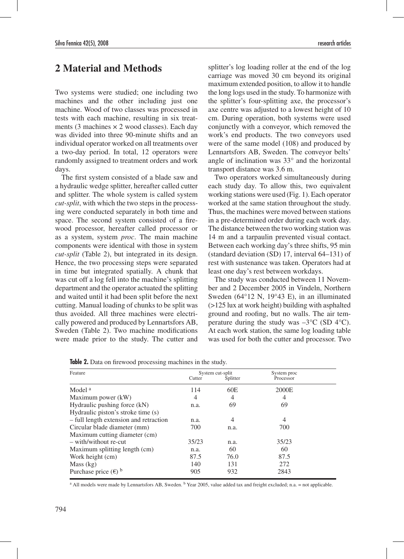# **2 Material and Methods**

Two systems were studied; one including two machines and the other including just one machine. Wood of two classes was processed in tests with each machine, resulting in six treatments (3 machines  $\times$  2 wood classes). Each day was divided into three 90-minute shifts and an individual operator worked on all treatments over a two-day period. In total, 12 operators were randomly assigned to treatment orders and work days.

The first system consisted of a blade saw and a hydraulic wedge splitter, hereafter called cutter and splitter. The whole system is called system *cut-split*, with which the two steps in the processing were conducted separately in both time and space. The second system consisted of a firewood processor, hereafter called processor or as a system, system *proc*. The main machine components were identical with those in system *cut-split* (Table 2), but integrated in its design. Hence, the two processing steps were separated in time but integrated spatially. A chunk that was cut off a log fell into the machine's splitting department and the operator actuated the splitting and waited until it had been split before the next cutting. Manual loading of chunks to be split was thus avoided. All three machines were electrically powered and produced by Lennartsfors AB, Sweden (Table 2). Two machine modifications were made prior to the study. The cutter and

splitter's log loading roller at the end of the log carriage was moved 30 cm beyond its original maximum extended position, to allow it to handle the long logs used in the study. To harmonize with the splitter's four-splitting axe, the processor's axe centre was adjusted to a lowest height of 10 cm. During operation, both systems were used conjunctly with a conveyor, which removed the work's end products. The two conveyors used were of the same model (108) and produced by Lennartsfors AB, Sweden. The conveyor belts' angle of inclination was 33° and the horizontal transport distance was 3.6 m.

Two operators worked simultaneously during each study day. To allow this, two equivalent working stations were used (Fig. 1). Each operator worked at the same station throughout the study. Thus, the machines were moved between stations in a pre-determined order during each work day. The distance between the two working station was 14 m and a tarpaulin prevented visual contact. Between each working day's three shifts, 95 min (standard deviation (SD) 17, interval 64–131) of rest with sustenance was taken. Operators had at least one day's rest between workdays.

The study was conducted between 11 November and 2 December 2005 in Vindeln, Northern Sweden (64°12 N, 19°43 E), in an illuminated (>125 lux at work height) building with asphalted ground and roofing, but no walls. The air temperature during the study was  $-3^{\circ}$ C (SD 4 $^{\circ}$ C). At each work station, the same log loading table was used for both the cutter and processor. Two

| Feature                                | System cut-split |          | System proc |  |
|----------------------------------------|------------------|----------|-------------|--|
|                                        | Cutter           | Splitter | Processor   |  |
| Model <sup>a</sup>                     | 114              | 60E      | 2000E       |  |
| Maximum power (kW)                     | 4                | 4        | 4           |  |
| Hydraulic pushing force (kN)           | n.a.             | 69       | 69          |  |
| Hydraulic piston's stroke time (s)     |                  |          |             |  |
| - full length extension and retraction | n.a.             | 4        | 4           |  |
| Circular blade diameter (mm)           | 700              | n.a.     | 700         |  |
| Maximum cutting diameter (cm)          |                  |          |             |  |
| $-$ with/without re-cut                | 35/23            | n.a.     | 35/23       |  |
| Maximum splitting length (cm)          | n.a.             | 60       | 60          |  |
| Work height (cm)                       | 87.5             | 76.0     | 87.5        |  |
| Mass (kg)                              | 140              | 131      | 272         |  |
| Purchase price $(\epsilon)$ b          | 905              | 932      | 2843        |  |

**Table 2.** Data on firewood processing machines in the study.

<sup>a</sup> All models were made by Lennartsfors AB, Sweden. <sup>b</sup> Year 2005, value added tax and freight excluded; n.a. = not applicable.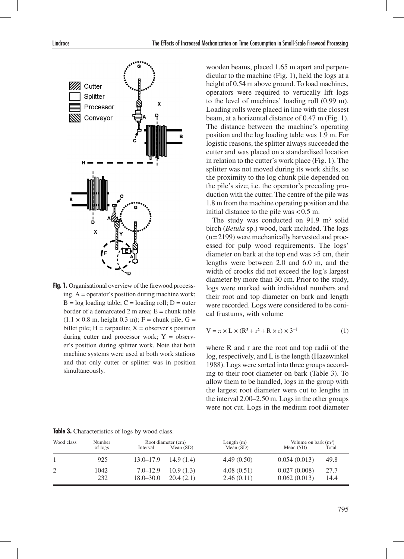

Fig. 1. Organisational overview of the firewood processing. A = operator's position during machine work;  $B = \log$  loading table;  $C =$  loading roll;  $D =$  outer border of a demarcated 2 m area;  $E =$  chunk table  $(1.1 \times 0.8 \text{ m}, \text{height } 0.3 \text{ m})$ ; F = chunk pile; G = billet pile;  $H = \text{tarpaulin}$ ;  $X = \text{observer's position}$ during cutter and processor work;  $Y =$  observer's position during splitter work. Note that both machine systems were used at both work stations and that only cutter or splitter was in position simultaneously.

wooden beams, placed 1.65 m apart and perpendicular to the machine (Fig. 1), held the logs at a height of 0.54 m above ground. To load machines, operators were required to vertically lift logs to the level of machines' loading roll (0.99 m). Loading rolls were placed in line with the closest beam, at a horizontal distance of 0.47 m (Fig. 1). The distance between the machine's operating position and the log loading table was 1.9 m. For logistic reasons, the splitter always succeeded the cutter and was placed on a standardised location in relation to the cutter's work place (Fig. 1). The splitter was not moved during its work shifts, so the proximity to the log chunk pile depended on the pile's size; i.e. the operator's preceding production with the cutter. The centre of the pile was 1.8 m from the machine operating position and the initial distance to the pile was  $< 0.5$  m.

The study was conducted on  $91.9 \text{ m}^3$  solid birch (*Betula* sp.) wood, bark included. The logs (n=2199) were mechanically harvested and processed for pulp wood requirements. The logs' diameter on bark at the top end was >5 cm, their lengths were between 2.0 and 6.0 m, and the width of crooks did not exceed the log's largest diameter by more than 30 cm. Prior to the study, logs were marked with individual numbers and their root and top diameter on bark and length were recorded. Logs were considered to be conical frustums, with volume

$$
V = \pi \times L \times (R^2 + r^2 + R \times r) \times 3^{-1}
$$
 (1)

where R and r are the root and top radii of the log, respectively, and L is the length (Hazewinkel 1988). Logs were sorted into three groups according to their root diameter on bark (Table 3). To allow them to be handled, logs in the group with the largest root diameter were cut to lengths in the interval 2.00–2.50 m. Logs in the other groups were not cut. Logs in the medium root diameter

**Table 3.** Characteristics of logs by wood class.

| Wood class | Number<br>of logs | Interval                      | Root diameter (cm)<br>Mean $(SD)$ | Length $(m)$<br>Mean $(SD)$ | Volume on bark $(m^3)$<br>Mean $(SD)$ | Total        |
|------------|-------------------|-------------------------------|-----------------------------------|-----------------------------|---------------------------------------|--------------|
|            | 925               | $13.0 - 17.9$                 | 14.9(1.4)                         | 4.49(0.50)                  | 0.054(0.013)                          | 49.8         |
|            | 1042<br>232       | $7.0 - 12.9$<br>$18.0 - 30.0$ | 10.9(1.3)<br>20.4(2.1)            | 4.08(0.51)<br>2.46(0.11)    | 0.027(0.008)<br>0.062(0.013)          | 27.7<br>14.4 |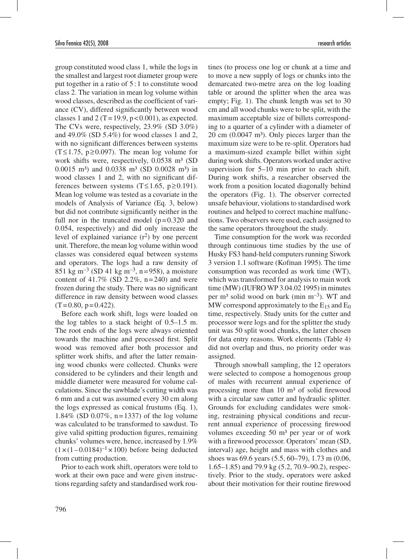group constituted wood class 1, while the logs in the smallest and largest root diameter group were put together in a ratio of 5 :1 to constitute wood class 2. The variation in mean log volume within wood classes, described as the coefficient of variance (CV), differed significantly between wood classes 1 and 2 (T = 19.9,  $p < 0.001$ ), as expected. The CVs were, respectively, 23.9% (SD 3.0%) and 49.0% (SD 5.4%) for wood classes 1 and 2, with no significant differences between systems  $(T \le 1.75, p \ge 0.097)$ . The mean log volume for work shifts were, respectively, 0.0538 m<sup>3</sup> (SD 0.0015 m<sup>3</sup>) and 0.0338 m<sup>3</sup> (SD 0.0028 m<sup>3</sup>) in wood classes 1 and 2, with no significant differences between systems (T≤1.65, p≥0.191). Mean log volume was tested as a covariate in the models of Analysis of Variance (Eq. 3, below) but did not contribute significantly neither in the full nor in the truncated model  $(p=0.320)$  and 0.054, respectively) and did only increase the level of explained variance  $(r^2)$  by one percent unit. Therefore, the mean log volume within wood classes was considered equal between systems and operators. The logs had a raw density of 851 kg m<sup>-3</sup> (SD 41 kg m<sup>-3</sup>, n=958), a moisture content of  $41.7\%$  (SD 2.2%, n=240) and were frozen during the study. There was no significant difference in raw density between wood classes  $(T=0.80, p=0.422)$ .

Before each work shift, logs were loaded on the log tables to a stack height of 0.5–1.5 m. The root ends of the logs were always oriented towards the machine and processed first. Split wood was removed after both processor and splitter work shifts, and after the latter remaining wood chunks were collected. Chunks were considered to be cylinders and their length and middle diameter were measured for volume calculations. Since the sawblade's cutting width was 6 mm and a cut was assumed every 30 cm along the logs expressed as conical frustums (Eq. 1), 1.84% (SD 0.07%, n=1337) of the log volume was calculated to be transformed to sawdust. To give valid spitting production figures, remaining chunks' volumes were, hence, increased by 1.9%  $(1 \times (1 - 0.0184)^{-1} \times 100)$  before being deducted from cutting production.

Prior to each work shift, operators were told to work at their own pace and were given instructions regarding safety and standardised work rou-

tines (to process one log or chunk at a time and to move a new supply of logs or chunks into the demarcated two-metre area on the log loading table or around the splitter when the area was empty; Fig. 1). The chunk length was set to 30 cm and all wood chunks were to be split, with the maximum acceptable size of billets corresponding to a quarter of a cylinder with a diameter of  $20 \text{ cm } (0.0047 \text{ m}^3)$ . Only pieces larger than the maximum size were to be re-split. Operators had a maximum-sized example billet within sight during work shifts. Operators worked under active supervision for 5–10 min prior to each shift. During work shifts, a researcher observed the work from a position located diagonally behind the operators (Fig. 1). The observer corrected unsafe behaviour, violations to standardised work routines and helped to correct machine malfunctions. Two observers were used, each assigned to the same operators throughout the study.

Time consumption for the work was recorded through continuous time studies by the use of Husky FS3 hand-held computers running Siwork 3 version 1.1 software (Kofman 1995). The time consumption was recorded as work time (WT), which was transformed for analysis to main work time (MW) (IUFRO WP 3.04.02 1995) in minutes per m³ solid wood on bark (min m–3). WT and MW correspond approximately to the  $E_{15}$  and  $E_0$ time, respectively. Study units for the cutter and processor were logs and for the splitter the study unit was 50 split wood chunks, the latter chosen for data entry reasons. Work elements (Table 4) did not overlap and thus, no priority order was assigned.

Through snowball sampling, the 12 operators were selected to compose a homogenous group of males with recurrent annual experience of processing more than  $10 \text{ m}^3$  of solid firewood with a circular saw cutter and hydraulic splitter. Grounds for excluding candidates were smoking, restraining physical conditions and recurrent annual experience of processing firewood volumes exceeding 50 m<sup>3</sup> per year or of work with a firewood processor. Operators' mean (SD, interval) age, height and mass with clothes and shoes was 69.6 years (5.5, 60–79), 1.73 m (0.06, 1.65–1.85) and 79.9 kg (5.2, 70.9–90.2), respectively. Prior to the study, operators were asked about their motivation for their routine firewood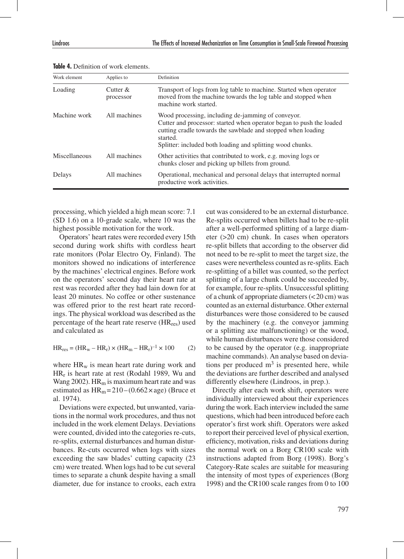| Work element  | Applies to               | Definition                                                                                                                                                                                                                                                           |
|---------------|--------------------------|----------------------------------------------------------------------------------------------------------------------------------------------------------------------------------------------------------------------------------------------------------------------|
| Loading       | Cutter $\&$<br>processor | Transport of logs from log table to machine. Started when operator<br>moved from the machine towards the log table and stopped when<br>machine work started.                                                                                                         |
| Machine work  | All machines             | Wood processing, including de-jamming of conveyor.<br>Cutter and processor: started when operator began to push the loaded<br>cutting cradle towards the sawblade and stopped when loading<br>started.<br>Splitter: included both loading and splitting wood chunks. |
| Miscellaneous | All machines             | Other activities that contributed to work, e.g. moving logs or<br>chunks closer and picking up billets from ground.                                                                                                                                                  |
| Delays        | All machines             | Operational, mechanical and personal delays that interrupted normal<br>productive work activities.                                                                                                                                                                   |

**Table 4.** Definition of work elements.

processing, which yielded a high mean score: 7.1 (SD 1.6) on a 10-grade scale, where 10 was the highest possible motivation for the work.

Operators' heart rates were recorded every 15th second during work shifts with cordless heart rate monitors (Polar Electro Oy, Finland). The monitors showed no indications of interference by the machines' electrical engines. Before work on the operators' second day their heart rate at rest was recorded after they had lain down for at least 20 minutes. No coffee or other sustenance was offered prior to the rest heart rate recordings. The physical workload was described as the percentage of the heart rate reserve (HRres) used and calculated as

$$
HR_{res} = (HR_w - HR_r) \times (HR_m - HR_r)^{-1} \times 100
$$
 (2)

where  $HR_w$  is mean heart rate during work and  $HR_r$  is heart rate at rest (Rodahl 1989, Wu and Wang 2002).  $HR_m$  is maximum heart rate and was estimated as  $HR_m = 210 - (0.662 \times age)$  (Bruce et al. 1974).

Deviations were expected, but unwanted, variations in the normal work procedures, and thus not included in the work element Delays. Deviations were counted, divided into the categories re-cuts, re-splits, external disturbances and human disturbances. Re-cuts occurred when logs with sizes exceeding the saw blades' cutting capacity (23 cm) were treated. When logs had to be cut several times to separate a chunk despite having a small diameter, due for instance to crooks, each extra

cut was considered to be an external disturbance. Re-splits occurred when billets had to be re-split after a well-performed splitting of a large diameter (>20 cm) chunk. In cases when operators re-split billets that according to the observer did not need to be re-split to meet the target size, the cases were nevertheless counted as re-splits. Each re-splitting of a billet was counted, so the perfect splitting of a large chunk could be succeeded by, for example, four re-splits. Unsuccessful splitting of a chunk of appropriate diameters (<20 cm) was counted as an external disturbance. Other external disturbances were those considered to be caused by the machinery (e.g. the conveyor jamming or a splitting axe malfunctioning) or the wood, while human disturbances were those considered to be caused by the operator (e.g. inappropriate machine commands). An analyse based on deviations per produced  $m<sup>3</sup>$  is presented here, while the deviations are further described and analysed differently elsewhere (Lindroos, in prep.).

Directly after each work shift, operators were individually interviewed about their experiences during the work. Each interview included the same questions, which had been introduced before each operator's first work shift. Operators were asked to report their perceived level of physical exertion, efficiency, motivation, risks and deviations during the normal work on a Borg CR100 scale with instructions adapted from Borg (1998). Borg's Category-Rate scales are suitable for measuring the intensity of most types of experiences (Borg 1998) and the CR100 scale ranges from 0 to 100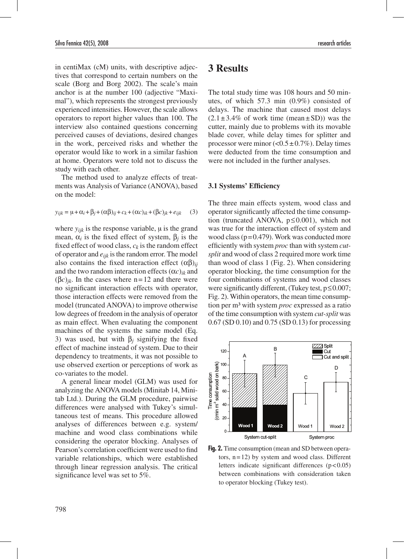in centiMax (cM) units, with descriptive adjectives that correspond to certain numbers on the scale (Borg and Borg 2002). The scale's main anchor is at the number 100 (adjective "Maximal"), which represents the strongest previously experienced intensities. However, the scale allows operators to report higher values than 100. The interview also contained questions concerning perceived causes of deviations, desired changes in the work, perceived risks and whether the operator would like to work in a similar fashion at home. Operators were told not to discuss the study with each other.

The method used to analyze effects of treatments was Analysis of Variance (ANOVA), based on the model:

$$
y_{ijk} = \mu + \alpha_i + \beta_j + (\alpha \beta)_{ij} + c_k + (\alpha c)_{ik} + (\beta c)_{jk} + e_{ijk} \tag{3}
$$

where  $y_{ijk}$  is the response variable,  $\mu$  is the grand mean,  $α<sub>i</sub>$  is the fixed effect of system,  $β<sub>i</sub>$  is the fixed effect of wood class,  $c_k$  is the random effect of operator and *eijk* is the random error. The model also contains the fixed interaction effect  $(\alpha\beta)_{ii}$ and the two random interaction effects  $(\alpha c)_{ik}$  and  $(\beta c)_{ik}$ . In the cases where n=12 and there were no significant interaction effects with operator, those interaction effects were removed from the model (truncated ANOVA) to improve otherwise low degrees of freedom in the analysis of operator as main effect. When evaluating the component machines of the systems the same model (Eq. 3) was used, but with β*j* signifying the fixed effect of machine instead of system. Due to their dependency to treatments, it was not possible to use observed exertion or perceptions of work as co-variates to the model.

A general linear model (GLM) was used for analyzing the ANOVA models (Minitab 14, Minitab Ltd.). During the GLM procedure, pairwise differences were analysed with Tukey's simultaneous test of means. This procedure allowed analyses of differences between e.g. system/ machine and wood class combinations while considering the operator blocking. Analyses of Pearson's correlation coefficient were used to find variable relationships, which were established through linear regression analysis. The critical significance level was set to 5%.

### **3 Results**

The total study time was 108 hours and 50 minutes, of which 57.3 min (0.9%) consisted of delays. The machine that caused most delays  $(2.1 \pm 3.4\% \text{ of work time (mean ± SD))}$  was the cutter, mainly due to problems with its movable blade cover, while delay times for splitter and processor were minor  $\left($ <0.5 ± 0.7%). Delay times were deducted from the time consumption and were not included in the further analyses.

#### **3.1 Systems' Efficiency**

The three main effects system, wood class and operator significantly affected the time consumption (truncated ANOVA, p≤0.001), which not was true for the interaction effect of system and wood class (p=0.479). Work was conducted more efficiently with system *proc* than with system *cutsplit* and wood of class 2 required more work time than wood of class 1 (Fig. 2). When considering operator blocking, the time consumption for the four combinations of systems and wood classes were significantly different, (Tukey test,  $p \le 0.007$ ; Fig. 2). Within operators, the mean time consumption per m³ with system *proc* expressed as a ratio of the time consumption with system *cut-split* was 0.67 (SD 0.10) and 0.75 (SD 0.13) for processing



**Fig. 2.** Time consumption (mean and SD between operators, n=12) by system and wood class. Different letters indicate significant differences  $(p<0.05)$ between combinations with consideration taken to operator blocking (Tukey test).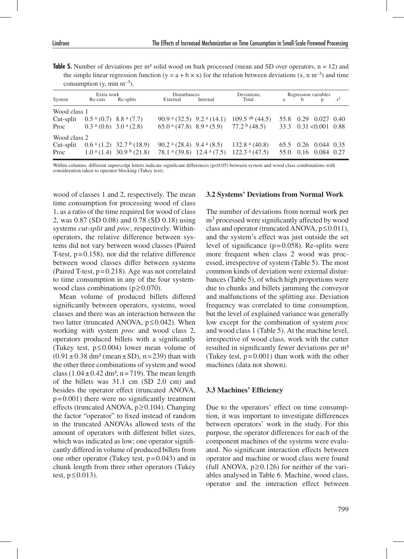**Table 5.** Number of deviations per  $m<sup>3</sup>$  solid wood on bark processed (mean and SD over operators,  $n = 12$ ) and the simple linear regression function (y = a + b  $\times$  x) for the relation between deviations (x, n m<sup>-3</sup>) and time consumption  $(y, \text{min } m^{-3})$ .

| Extra work   |                                               | <b>Disturbances</b>                             |                                         | Deviations. | Regression variables                                               |   |              |                                        |  |
|--------------|-----------------------------------------------|-------------------------------------------------|-----------------------------------------|-------------|--------------------------------------------------------------------|---|--------------|----------------------------------------|--|
| System       | Re-cuts                                       | Re-splits                                       | External                                | Internal    | Total                                                              | a | <sub>b</sub> |                                        |  |
| Wood class 1 |                                               |                                                 |                                         |             |                                                                    |   |              |                                        |  |
| Cut-split    | $0.5^{\text{ a}}(0.7)$ 8.8 $^{\text{a}}(7.7)$ |                                                 | 90.9 $a(32.5)$ 9.2 $a(14.1)$            |             | $109.5$ ab $(44.5)$                                                |   |              | 55.8 0.29 0.027 0.40                   |  |
| Proc         | $0.3a$ (0.6) 3.0 <sup>a</sup> (2.8)           |                                                 |                                         |             | 65.0 $\text{a}$ (47.8) 8.9 $\text{a}$ (5.9) 77.2 $\text{b}$ (48.5) |   |              | $33.3 \quad 0.31 \le 0.001 \quad 0.88$ |  |
| Wood class 2 |                                               |                                                 |                                         |             |                                                                    |   |              |                                        |  |
| Cut-split    |                                               | 0.6 $\frac{a(1.2)}{32.7}$ b (18.9)              | 90.2 $\alpha$ (28.4) 9.4 $\alpha$ (8.5) |             | 132.8 $\alpha$ (40.8)                                              |   |              | 65.5 0.26 0.044 0.35                   |  |
| Proc         |                                               | $1.0^{\text{a}}(1.4)$ 30.9 $^{\text{b}}$ (21.8) |                                         |             | 78.1 $\alpha$ (39.8) 12.4 $\alpha$ (7.5) 122.3 $\alpha$ (47.5)     |   |              | 55.0 0.16 0.084 0.27                   |  |

Within columns, different superscript letters indicate significant differences (p<0.05) between system and wood class combinations with consideration taken to operator blocking (Tukey test).

wood of classes 1 and 2, respectively. The mean time consumption for processing wood of class 1, as a ratio of the time required for wood of class 2, was 0.87 (SD 0.08) and 0.78 (SD 0.18) using systems *cut-split* and *proc*, respectively. Withinoperators, the relative difference between systems did not vary between wood classes (Paired T-test,  $p=0.158$ ), nor did the relative difference between wood classes differ between systems (Paired T-test, p=0.218). Age was not correlated to time consumption in any of the four systemwood class combinations (p≥0.070).

Mean volume of produced billets differed significantly between operators, systems, wood classes and there was an interaction between the two latter (truncated ANOVA,  $p \le 0.042$ ). When working with system *proc* and wood class 2, operators produced billets with a significantly (Tukey test, p≤0.004) lower mean volume of  $(0.91 \pm 0.38 \text{ dm}^3 \text{ (mean ± SD)}, n = 239)$  than with the other three combinations of system and wood class  $(1.04 \pm 0.42 \text{ dm}^3, \text{n} = 719)$ . The mean length of the billets was 31.1 cm (SD 2.0 cm) and besides the operator effect (truncated ANOVA,  $p=0.001$ ) there were no significantly treatment effects (truncated ANOVA, p≥0.104). Changing the factor "operator" to fixed instead of random in the truncated ANOVAs allowed tests of the amount of operators with different billet sizes, which was indicated as low; one operator significantly differed in volume of produced billets from one other operator (Tukey test,  $p=0.043$ ) and in chunk length from three other operators (Tukey test,  $p \leq 0.013$ ).

#### **3.2 Systems' Deviations from Normal Work**

The number of deviations from normal work per m<sup>3</sup> processed were significantly affected by wood class and operator (truncated ANOVA,  $p \le 0.011$ ), and the system's effect was just outside the set level of significance  $(p=0.058)$ . Re-splits were more frequent when class 2 wood was processed, irrespective of system (Table 5). The most common kinds of deviation were external disturbances (Table 5), of which high proportions were due to chunks and billets jamming the conveyor and malfunctions of the splitting axe. Deviation frequency was correlated to time consumption, but the level of explained variance was generally low except for the combination of system *proc* and wood class 1 (Table 5). At the machine level, irrespective of wood class, work with the cutter resulted in significantly fewer deviations per m<sup>3</sup> (Tukey test,  $p=0.001$ ) than work with the other machines (data not shown).

#### **3.3 Machines' Efficiency**

Due to the operators' effect on time consumption, it was important to investigate differences between operators' work in the study. For this purpose, the operator differences for each of the component machines of the systems were evaluated. No significant interaction effects between operator and machine or wood class were found (full ANOVA,  $p \ge 0.126$ ) for neither of the variables analysed in Table 6. Machine, wood class, operator and the interaction effect between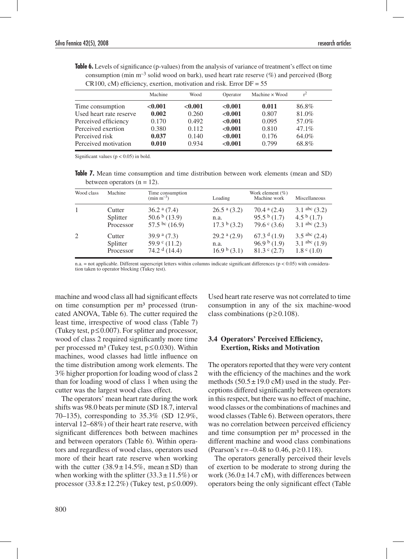**Table 6.** Levels of significance (p-values) from the analysis of variance of treatment's effect on time consumption (min  $m^{-3}$  solid wood on bark), used heart rate reserve (%) and perceived (Borg  $CR100$ , cM) efficiency, exertion, motivation and risk. Error  $DF = 55$ 

|                         | Machine | Wood    | Operator | Machine x Wood | $r^2$    |
|-------------------------|---------|---------|----------|----------------|----------|
| Time consumption        | < 0.001 | < 0.001 | < 0.001  | 0.011          | 86.8%    |
| Used heart rate reserve | 0.002   | 0.260   | < 0.001  | 0.807          | 81.0%    |
| Perceived efficiency    | 0.170   | 0.492   | < 0.001  | 0.095          | 57.0%    |
| Perceived exertion      | 0.380   | 0.112   | < 0.001  | 0.810          | $47.1\%$ |
| Perceived risk          | 0.037   | 0.140   | < 0.001  | 0.176          | 64.0%    |
| Perceived motivation    | 0.010   | 0.934   | < 0.001  | 0.799          | 68.8%    |

Significant values ( $p < 0.05$ ) in bold.

**Table 7.** Mean time consumption and time distribution between work elements (mean and SD) between operators  $(n = 12)$ .

| Wood class   | Machine   | Time consumption<br>$(min m^{-3})$ | Loading                     | Work element $(\%)$<br>Machine work | Miscellaneous          |
|--------------|-----------|------------------------------------|-----------------------------|-------------------------------------|------------------------|
| $\mathbf{1}$ | Cutter    | $36.2$ <sup>a</sup> $(7.4)$        | $26.5$ <sup>a</sup> $(3.2)$ | 70.4 $a$ (2.4)                      | $3.1$ abc $(3.2)$      |
|              | Splitter  | $50.6b$ (13.9)                     | n.a.                        | 95.5 <sup>b</sup> (1.7)             | 4.5 $\frac{b(1.7)}{c}$ |
|              | Processor | 57.5 bc $(16.9)$                   | $17.3b$ (3.2)               | 79.6 $\textdegree$ (3.6)            | $3.1$ abc $(2.3)$      |
| 2            | Cutter    | 39.9 $a(7.3)$                      | $29.2a$ (2.9)               | $67.3d$ (1.9)                       | 3.5 abc $(2.4)$        |
|              | Splitter  | $59.9^{\circ}$ (11.2)              | n.a.                        | 96.9 <sup>b</sup> (1.9)             | 3.1 abc $(1.9)$        |
|              | Processor | 74.2 $d(14.4)$                     | $16.9b$ (3.1)               | $81.3$ c $(2.7)$                    | $1.8^{\circ}$ (1.0)    |

n.a. = not applicable. Different superscript letters within columns indicate significant differences ( $p < 0.05$ ) with consideration taken to operator blocking (Tukey test).

machine and wood class all had significant effects on time consumption per m<sup>3</sup> processed (truncated ANOVA, Table 6). The cutter required the least time, irrespective of wood class (Table 7) (Tukey test,  $p \le 0.007$ ). For splitter and processor, wood of class 2 required significantly more time per processed m<sup>3</sup> (Tukey test,  $p \le 0.030$ ). Within machines, wood classes had little influence on the time distribution among work elements. The 3% higher proportion for loading wood of class 2 than for loading wood of class 1 when using the cutter was the largest wood class effect.

The operators' mean heart rate during the work shifts was 98.0 beats per minute (SD 18.7, interval 70–135), corresponding to 35.3% (SD 12.9%, interval 12–68%) of their heart rate reserve, with significant differences both between machines and between operators (Table 6). Within operators and regardless of wood class, operators used more of their heart rate reserve when working with the cutter  $(38.9 \pm 14.5\%$ , mean  $\pm$  SD) than when working with the splitter  $(33.3 \pm 11.5\%)$  or processor (33.8 ± 12.2%) (Tukey test,  $p$  ≤ 0.009).

Used heart rate reserve was not correlated to time consumption in any of the six machine-wood class combinations ( $p \ge 0.108$ ).

### **3.4 Operators' Perceived Efficiency, Exertion, Risks and Motivation**

The operators reported that they were very content with the efficiency of the machines and the work methods  $(50.5 \pm 19.0 \text{ cM})$  used in the study. Perceptions differed significantly between operators in this respect, but there was no effect of machine, wood classes or the combinations of machines and wood classes (Table 6). Between operators, there was no correlation between perceived efficiency and time consumption per m³ processed in the different machine and wood class combinations (Pearson's r = –0.48 to 0.46,  $p \ge 0.118$ ).

The operators generally perceived their levels of exertion to be moderate to strong during the work  $(36.0 \pm 14.7 \text{ cM})$ , with differences between operators being the only significant effect (Table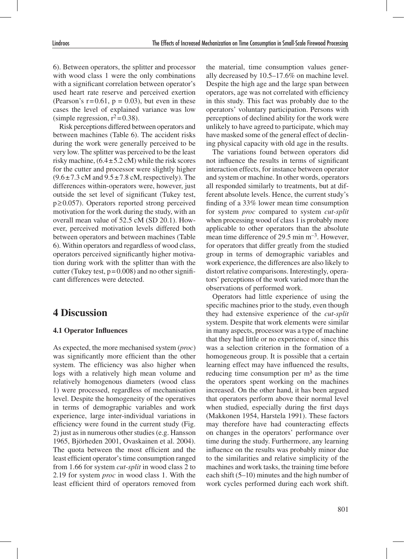6). Between operators, the splitter and processor with wood class 1 were the only combinations with a significant correlation between operator's used heart rate reserve and perceived exertion (Pearson's  $r=0.61$ ,  $p = 0.03$ ), but even in these cases the level of explained variance was low (simple regression,  $r^2$ =0.38).

Risk perceptions differed between operators and between machines (Table 6). The accident risks during the work were generally perceived to be very low. The splitter was perceived to be the least risky machine,  $(6.4 \pm 5.2 \text{ cM})$  while the risk scores for the cutter and processor were slightly higher  $(9.6 \pm 7.3 \text{ cM} \text{ and } 9.5 \pm 7.8 \text{ cM} \text{, respectively)}$ . The differences within-operators were, however, just outside the set level of significant (Tukey test, p≥0.057). Operators reported strong perceived motivation for the work during the study, with an overall mean value of 52.5 cM (SD 20.1). However, perceived motivation levels differed both between operators and between machines (Table 6). Within operators and regardless of wood class, operators perceived significantly higher motivation during work with the splitter than with the cutter (Tukey test,  $p=0.008$ ) and no other significant differences were detected.

## **4 Discussion**

### **4.1 Operator Influences**

As expected, the more mechanised system (*proc*) was significantly more efficient than the other system. The efficiency was also higher when logs with a relatively high mean volume and relatively homogenous diameters (wood class 1) were processed, regardless of mechanisation level. Despite the homogeneity of the operatives in terms of demographic variables and work experience, large inter-individual variations in efficiency were found in the current study (Fig. 2) just as in numerous other studies (e.g. Hansson 1965, Björheden 2001, Ovaskainen et al. 2004). The quota between the most efficient and the least efficient operator's time consumption ranged from 1.66 for system *cut-split* in wood class 2 to 2.19 for system *proc* in wood class 1. With the least efficient third of operators removed from

the material, time consumption values generally decreased by 10.5–17.6% on machine level. Despite the high age and the large span between operators, age was not correlated with efficiency in this study. This fact was probably due to the operators' voluntary participation. Persons with perceptions of declined ability for the work were unlikely to have agreed to participate, which may have masked some of the general effect of declining physical capacity with old age in the results.

The variations found between operators did not influence the results in terms of significant interaction effects, for instance between operator and system or machine. In other words, operators all responded similarly to treatments, but at different absolute levels. Hence, the current study's finding of a 33% lower mean time consumption for system *proc* compared to system *cut-split*  when processing wood of class 1 is probably more applicable to other operators than the absolute mean time difference of 29.5 min m–3. However, for operators that differ greatly from the studied group in terms of demographic variables and work experience, the differences are also likely to distort relative comparisons. Interestingly, operators' perceptions of the work varied more than the observations of performed work.

Operators had little experience of using the specific machines prior to the study, even though they had extensive experience of the *cut-split*  system. Despite that work elements were similar in many aspects, processor was a type of machine that they had little or no experience of, since this was a selection criterion in the formation of a homogeneous group. It is possible that a certain learning effect may have influenced the results, reducing time consumption per  $m<sup>3</sup>$  as the time the operators spent working on the machines increased. On the other hand, it has been argued that operators perform above their normal level when studied, especially during the first days (Makkonen 1954, Harstela 1991). These factors may therefore have had counteracting effects on changes in the operators' performance over time during the study. Furthermore, any learning influence on the results was probably minor due to the similarities and relative simplicity of the machines and work tasks, the training time before each shift (5–10) minutes and the high number of work cycles performed during each work shift.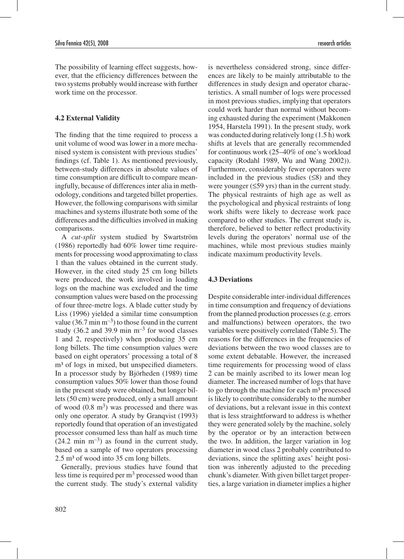The possibility of learning effect suggests, however, that the efficiency differences between the two systems probably would increase with further work time on the processor.

### **4.2 External Validity**

The finding that the time required to process a unit volume of wood was lower in a more mechanised system is consistent with previous studies' findings (cf. Table 1). As mentioned previously, between-study differences in absolute values of time consumption are difficult to compare meaningfully, because of differences inter alia in methodology, conditions and targeted billet properties. However, the following comparisons with similar machines and systems illustrate both some of the differences and the difficulties involved in making comparisons.

A *cut-split* system studied by Swartström (1986) reportedly had 60% lower time requirements for processing wood approximating to class 1 than the values obtained in the current study. However, in the cited study 25 cm long billets were produced, the work involved in loading logs on the machine was excluded and the time consumption values were based on the processing of four three-metre logs. A blade cutter study by Liss (1996) yielded a similar time consumption value (36.7 min  $m^{-3}$ ) to those found in the current study (36.2 and 39.9 min  $m^{-3}$  for wood classes 1 and 2, respectively) when producing 35 cm long billets. The time consumption values were based on eight operators' processing a total of 8 m<sup>3</sup> of logs in mixed, but unspecified diameters. In a processor study by Björheden (1989) time consumption values 50% lower than those found in the present study were obtained, but longer billets (50 cm) were produced, only a small amount of wood  $(0.8 \text{ m}^3)$  was processed and there was only one operator. A study by Granqvist (1993) reportedly found that operation of an investigated processor consumed less than half as much time  $(24.2 \text{ min } \text{m}^{-3})$  as found in the current study, based on a sample of two operators processing  $2.5 \text{ m}^3$  of wood into 35 cm long billets.

Generally, previous studies have found that less time is required per  $m<sup>3</sup>$  processed wood than the current study. The study's external validity is nevertheless considered strong, since differences are likely to be mainly attributable to the differences in study design and operator characteristics. A small number of logs were processed in most previous studies, implying that operators could work harder than normal without becoming exhausted during the experiment (Makkonen 1954, Harstela 1991). In the present study, work was conducted during relatively long (1.5 h) work shifts at levels that are generally recommended for continuous work (25–40% of one's workload capacity (Rodahl 1989, Wu and Wang 2002)). Furthermore, considerably fewer operators were included in the previous studies  $(≤8)$  and they were younger (≤59 yrs) than in the current study. The physical restraints of high age as well as the psychological and physical restraints of long work shifts were likely to decrease work pace compared to other studies. The current study is, therefore, believed to better reflect productivity levels during the operators' normal use of the machines, while most previous studies mainly indicate maximum productivity levels.

#### **4.3 Deviations**

Despite considerable inter-individual differences in time consumption and frequency of deviations from the planned production processes (e.g. errors and malfunctions) between operators, the two variables were positively correlated (Table 5). The reasons for the differences in the frequencies of deviations between the two wood classes are to some extent debatable. However, the increased time requirements for processing wood of class 2 can be mainly ascribed to its lower mean log diameter. The increased number of logs that have to go through the machine for each  $m<sup>3</sup>$  processed is likely to contribute considerably to the number of deviations, but a relevant issue in this context that is less straightforward to address is whether they were generated solely by the machine, solely by the operator or by an interaction between the two. In addition, the larger variation in log diameter in wood class 2 probably contributed to deviations, since the splitting axes' height position was inherently adjusted to the preceding chunk's diameter. With given billet target properties, a large variation in diameter implies a higher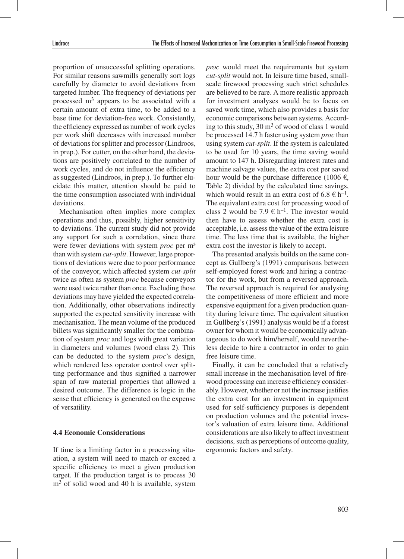proportion of unsuccessful splitting operations. For similar reasons sawmills generally sort logs carefully by diameter to avoid deviations from targeted lumber. The frequency of deviations per processed m3 appears to be associated with a certain amount of extra time, to be added to a base time for deviation-free work. Consistently, the efficiency expressed as number of work cycles per work shift decreases with increased number of deviations for splitter and processor (Lindroos, in prep.). For cutter, on the other hand, the deviations are positively correlated to the number of work cycles, and do not influence the efficiency as suggested (Lindroos, in prep.). To further elucidate this matter, attention should be paid to the time consumption associated with individual deviations.

Mechanisation often implies more complex operations and thus, possibly, higher sensitivity to deviations. The current study did not provide any support for such a correlation, since there were fewer deviations with system *proc* per m<sup>3</sup> than with system *cut-split*. However, large proportions of deviations were due to poor performance of the conveyor, which affected system *cut-split*  twice as often as system *proc* because conveyors were used twice rather than once. Excluding those deviations may have yielded the expected correlation. Additionally, other observations indirectly supported the expected sensitivity increase with mechanisation. The mean volume of the produced billets was significantly smaller for the combination of system *proc* and logs with great variation in diameters and volumes (wood class 2). This can be deducted to the system *proc*'s design, which rendered less operator control over splitting performance and thus signified a narrower span of raw material properties that allowed a desired outcome. The difference is logic in the sense that efficiency is generated on the expense of versatility.

#### **4.4 Economic Considerations**

If time is a limiting factor in a processing situation, a system will need to match or exceed a specific efficiency to meet a given production target. If the production target is to process 30  $m<sup>3</sup>$  of solid wood and 40 h is available, system

*proc* would meet the requirements but system *cut-split* would not. In leisure time based, smallscale firewood processing such strict schedules are believed to be rare. A more realistic approach for investment analyses would be to focus on saved work time, which also provides a basis for economic comparisons between systems. According to this study,  $30 \text{ m}^3$  of wood of class 1 would be processed 14.7 h faster using system *proc* than using system *cut-split*. If the system is calculated to be used for 10 years, the time saving would amount to 147 h. Disregarding interest rates and machine salvage values, the extra cost per saved hour would be the purchase difference (1006  $\epsilon$ , Table 2) divided by the calculated time savings, which would result in an extra cost of 6.8  $\in$  h<sup>-1</sup>. The equivalent extra cost for processing wood of class 2 would be 7.9  $\in$  h<sup>-1</sup>. The investor would then have to assess whether the extra cost is acceptable, i.e. assess the value of the extra leisure time. The less time that is available, the higher extra cost the investor is likely to accept.

The presented analysis builds on the same concept as Gullberg's (1991) comparisons between self-employed forest work and hiring a contractor for the work, but from a reversed approach. The reversed approach is required for analysing the competitiveness of more efficient and more expensive equipment for a given production quantity during leisure time. The equivalent situation in Gullberg's (1991) analysis would be if a forest owner for whom it would be economically advantageous to do work him/herself, would nevertheless decide to hire a contractor in order to gain free leisure time.

Finally, it can be concluded that a relatively small increase in the mechanisation level of firewood processing can increase efficiency considerably. However, whether or not the increase justifies the extra cost for an investment in equipment used for self-sufficiency purposes is dependent on production volumes and the potential investor's valuation of extra leisure time. Additional considerations are also likely to affect investment decisions, such as perceptions of outcome quality, ergonomic factors and safety.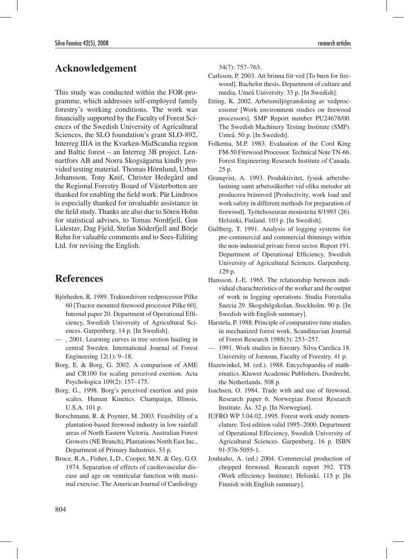### **Acknowledgement**

This study was conducted within the FOR-programme, which addresses self-employed family forestry's working conditions. The work was financially supported by the Faculty of Forest Sciences of the Swedish University of Agricultural Sciences, the SLO foundation's grant SLO-892, Interreg IIIA in the Kvarken-MidScandia region and Baltic forest – an Interreg 3B project. Lennartfors AB and Norra Skogsägarna kindly provided testing material. Thomas Hörnlund, Urban Johansson, Tony Knif, Christer Hedegård and the Regional Forestry Board of Västerbotten are thanked for enabling the field work. Pär Lindroos is especially thanked for invaluable assistance in the field study. Thanks are also due to Sören Holm for statistical advises, to Tomas Nordfjell, Gun Lidestav, Dag Fjeld, Stefan Söderfjell and Börje Rehn for valuable comments and to Sees-Editing Ltd. for revising the English.

### **References**

- Björheden, R. 1989. Traktordriven vedprocessor Pilke 60 [Tractor mounted firewood processor Pilke 60]. Internal paper 20. Department of Operational Efficiency, Swedish University of Agricultural Sciences. Garpenberg. 14 p. [In Swedish].
- , 2001. Learning curves in tree section hauling in central Sweden. International Journal of Forest Engineering 12(1): 9–18.
- Borg, E. & Borg, G. 2002. A comparison of AME and CR100 for scaling perceived exertion. Acta Psychologica 109(2): 157–175.
- Borg, G., 1998. Borg's perceived exertion and pain scales. Human Kinetics. Champaign, Illinois, U.S.A. 101 p.
- Borschmann, R. & Poynter, M. 2003. Feasibility of a plantation-based firewood industry in low rainfall areas of North Eastern Victoria. Australian Forest Growers (NE Branch), Plantations North East Inc., Department of Primary Industries. 53 p.
- Bruce, R.A., Fisher, L.D., Cooper, M.N. & Gey, G.O. 1974. Separation of effects of cardiovascular disease and age on ventricular function with maximal exercise. The American Journal of Cardiology

34(7): 757–763.

- Carlsson, P. 2003. Att brinna för ved [To burn for firewood]. Bachelor thesis. Department of culture and media, Umeå University. 33 p. [In Swedish].
- Etting, K. 2002. Arbetsmiljögranskning av vedprocessorer [Work environment studies on firewood processors]. SMP Report number PU24678/00. The Swedish Machinery Testing Institute (SMP). Umeå. 50 p. [In Swedish].
- Folkema, M.P. 1983. Evaluation of the Cord King FM-50 Firewood Processor. Technical Note TN-66. Forest Engineering Research Institute of Canada. 25 p.
- Granqvist, A. 1993. Produktivitet, fysisk arbetsbelastning samt arbetssäkerhet vid olika metoder att producera brännved [Productivity, work load and work safety in different methods for preparation of firewood]. Työtehoseuran monisteita 8/1993 (26). Helsinki, Finland. 103 p. [In Swedish].
- Gullberg, T. 1991. Analysis of logging systems for pre-commercial and commercial thinnings within the non-industrial private forest sector. Report 191. Department of Operational Efficiency, Swedish University of Agricultural Sciences. Garpenberg. 129 p.
- Hansson, J.-E. 1965. The relationship between individual charachteristics of the worker and the output of work in logging operations. Studia Forestalia Suecia 29. Skogshögskolan. Stockholm. 90 p. [In Swedish with English summary].
- Harstela, P. 1988. Principle of comparative time studies in mechanized forest work. Scandinavian Journal of Forest Research 1988(3): 253–257.
- 1991. Work studies in forestry. Silva Carelica 18. University of Joensuu, Faculty of Forestry. 41 p.
- Hazewinkel, M. (ed.). 1988. Encyclopaedia of mathematics. Kluwer Academic Publishers. Dordrecht, the Netherlands. 508 p.
- Isachsen, O. 1984. Trade with and use of firewood. Research paper 6. Norwegian Forest Research Institute. Ås. 32 p. [In Norwegian].
- IUFRO WP 3.04.02. 1995. Forest work study nomenclature. Test edition valid 1995–2000. Department of Operational Effeciency, Swedish University of Agricultural Sciences. Garpenberg. 16 p. ISBN 91-576-5055-1.
- Jouhiaho, A. (ed.) 2004. Commercial production of chopped firewood. Research report 392. TTS (Work effeciency Institute). Helsinki. 115 p. [In Finnish with English summary].